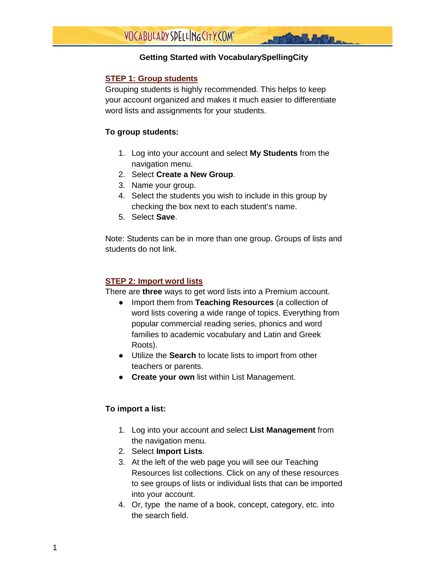## **Getting Started with VocabularySpellingCity**

## **STEP 1: Group students**

Grouping students is highly recommended. This helps to keep your account organized and makes it much easier to differentiate word lists and assignments for your students.

## **To group students:**

- 1. Log into your account and select **My Students** from the navigation menu.
- 2. Select **Create a New Group**.
- 3. Name your group.
- 4. Select the students you wish to include in this group by checking the box next to each student's name.
- 5. Select **Save**.

Note: Students can be in more than one group. Groups of lists and students do not link.

#### **STEP 2: Import word lists**

There are **three** ways to get word lists into a Premium account.

- Import them from **Teaching Resources** (a collection of word lists covering a wide range of topics. Everything from popular commercial reading series, phonics and word families to academic vocabulary and Latin and Greek Roots).
- Utilize the **Search** to locate lists to import from other teachers or parents.
- **Create your own** list within List Management.

## **To import a list:**

- 1. Log into your account and select **List Management** from the navigation menu.
- 2. Select **Import Lists**.
- 3. At the left of the web page you will see our Teaching Resources list collections. Click on any of these resources to see groups of lists or individual lists that can be imported into your account.
- 4. Or, type the name of a book, concept, category, etc. into the search field.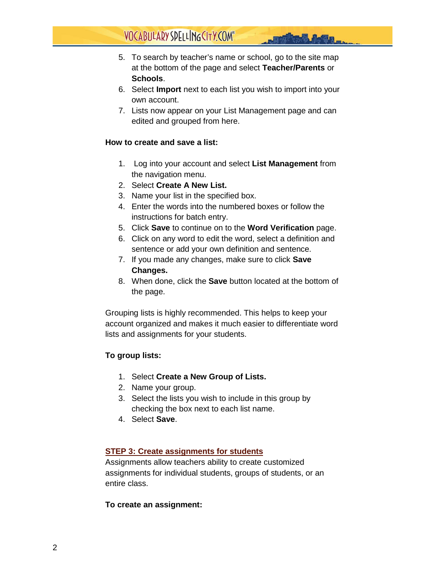# VOCABULARY SPELLING CITY.COM®

- 5. To search by teacher's name or school, go to the site map at the bottom of the page and select **Teacher/Parents** or **Schools**.
- 6. Select **Import** next to each list you wish to import into your own account.
- 7. Lists now appear on your List Management page and can edited and grouped from here.

#### **How to create and save a list:**

- 1. Log into your account and select **List Management** from the navigation menu.
- 2. Select **Create A New List.**
- 3. Name your list in the specified box.
- 4. Enter the words into the numbered boxes or follow the instructions for batch entry.
- 5. Click **Save** to continue on to the **Word Verification** page.
- 6. Click on any word to edit the word, select a definition and sentence or add your own definition and sentence.
- 7. If you made any changes, make sure to click **Save Changes.**
- 8. When done, click the **Save** button located at the bottom of the page.

Grouping lists is highly recommended. This helps to keep your account organized and makes it much easier to differentiate word lists and assignments for your students.

## **To group lists:**

- 1. Select **Create a New Group of Lists.**
- 2. Name your group.
- 3. Select the lists you wish to include in this group by checking the box next to each list name.
- 4. Select **Save**.

## **STEP 3: Create assignments for students**

Assignments allow teachers ability to create customized assignments for individual students, groups of students, or an entire class.

#### **To create an assignment:**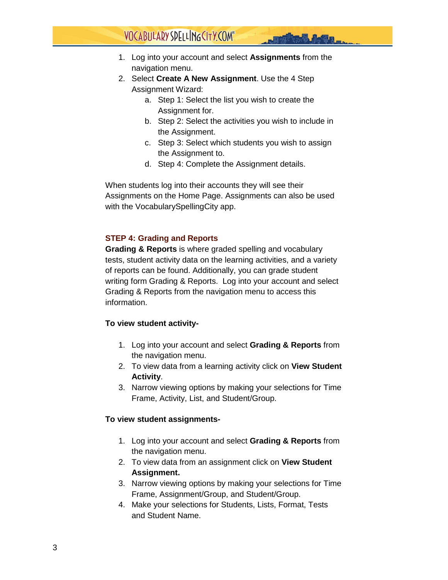## VOCABULARY SPELLING CITY.COM®

- 1. Log into your account and select **Assignments** from the navigation menu.
- 2. Select **Create A New Assignment**. Use the 4 Step Assignment Wizard:
	- a. Step 1: Select the list you wish to create the Assignment for.
	- b. Step 2: Select the activities you wish to include in the Assignment.
	- c. Step 3: Select which students you wish to assign the Assignment to.
	- d. Step 4: Complete the Assignment details.

When students log into their accounts they will see their Assignments on the Home Page. Assignments can also be used with the VocabularySpellingCity app.

## **STEP 4: Grading and Reports**

**Grading & Reports** is where graded spelling and vocabulary tests, student activity data on the learning activities, and a variety of reports can be found. Additionally, you can grade student writing form Grading & Reports. Log into your account and select Grading & Reports from the navigation menu to access this information.

## **To view student activity-**

- 1. Log into your account and select **Grading & Reports** from the navigation menu.
- 2. To view data from a learning activity click on **View Student Activity**.
- 3. Narrow viewing options by making your selections for Time Frame, Activity, List, and Student/Group.

## **To view student assignments-**

- 1. Log into your account and select **Grading & Reports** from the navigation menu.
- 2. To view data from an assignment click on **View Student Assignment.**
- 3. Narrow viewing options by making your selections for Time Frame, Assignment/Group, and Student/Group.
- 4. Make your selections for Students, Lists, Format, Tests and Student Name.